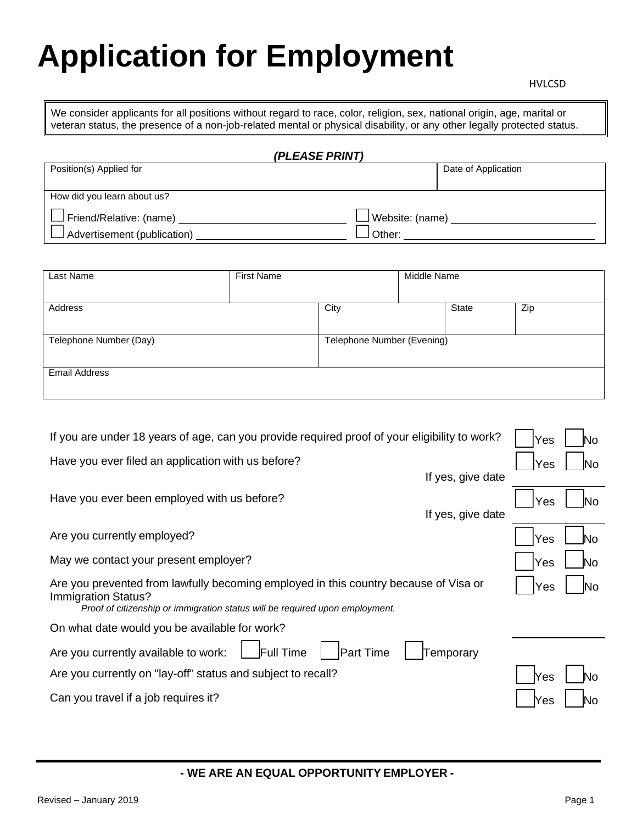## **Application for Employment**

We consider applicants for all positions without regard to race, color, religion, sex, national origin, age, marital or veteran status, the presence of a non-job-related mental or physical disability, or any other legally protected status.

| (PLEASE PRINT)                 |                        |  |  |  |
|--------------------------------|------------------------|--|--|--|
| Position(s) Applied for        | Date of Application    |  |  |  |
|                                |                        |  |  |  |
| How did you learn about us?    |                        |  |  |  |
| $\Box$ Friend/Relative: (name) | $\Box$ Website: (name) |  |  |  |
| Advertisement (publication)    | ∟Other:                |  |  |  |

| Last Name              | <b>First Name</b> |                            | Middle Name |       |     |
|------------------------|-------------------|----------------------------|-------------|-------|-----|
| Address                |                   | City                       |             | State | Zip |
| Telephone Number (Day) |                   | Telephone Number (Evening) |             |       |     |
| <b>Email Address</b>   |                   |                            |             |       |     |

| If you are under 18 years of age, can you provide required proof of your eligibility to work?                                                                                               | Yes  |      |
|---------------------------------------------------------------------------------------------------------------------------------------------------------------------------------------------|------|------|
| Have you ever filed an application with us before?                                                                                                                                          | Yes  | lΝo  |
| If yes, give date                                                                                                                                                                           |      |      |
| Have you ever been employed with us before?                                                                                                                                                 | Yes  | INo. |
| If yes, give date                                                                                                                                                                           |      |      |
| Are you currently employed?                                                                                                                                                                 | Yes  | N٥   |
| May we contact your present employer?                                                                                                                                                       | Yes  |      |
| Are you prevented from lawfully becoming employed in this country because of Visa or<br>Immigration Status?<br>Proof of citizenship or immigration status will be required upon employment. | Yes  | NΟ   |
| On what date would you be available for work?                                                                                                                                               |      |      |
| Full Time<br><b>Part Time</b><br>Are you currently available to work:<br>Temporary                                                                                                          |      |      |
| Are you currently on "lay-off" status and subject to recall?                                                                                                                                | IYes |      |
| Can you travel if a job requires it?                                                                                                                                                        | Yes  |      |
|                                                                                                                                                                                             |      |      |

**- WE ARE AN EQUAL OPPORTUNITY EMPLOYER -**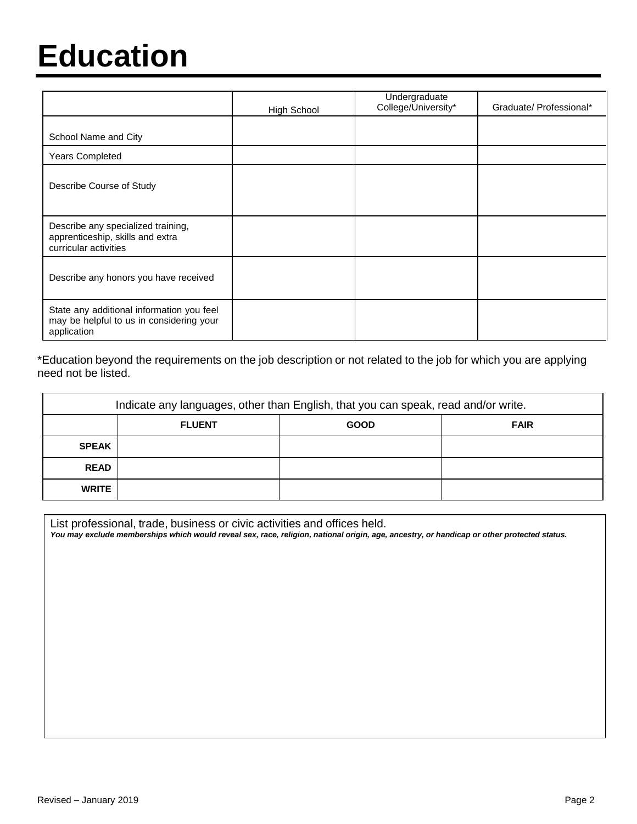### **Education**

|                                                                                                      | <b>High School</b> | Undergraduate<br>College/University* | Graduate/Professional* |
|------------------------------------------------------------------------------------------------------|--------------------|--------------------------------------|------------------------|
| School Name and City                                                                                 |                    |                                      |                        |
| Years Completed                                                                                      |                    |                                      |                        |
| Describe Course of Study                                                                             |                    |                                      |                        |
| Describe any specialized training,<br>apprenticeship, skills and extra<br>curricular activities      |                    |                                      |                        |
| Describe any honors you have received                                                                |                    |                                      |                        |
| State any additional information you feel<br>may be helpful to us in considering your<br>application |                    |                                      |                        |

\*Education beyond the requirements on the job description or not related to the job for which you are applying need not be listed.

| Indicate any languages, other than English, that you can speak, read and/or write. |               |             |             |  |  |
|------------------------------------------------------------------------------------|---------------|-------------|-------------|--|--|
|                                                                                    | <b>FLUENT</b> | <b>GOOD</b> | <b>FAIR</b> |  |  |
| <b>SPEAK</b>                                                                       |               |             |             |  |  |
| <b>READ</b>                                                                        |               |             |             |  |  |
| <b>WRITE</b>                                                                       |               |             |             |  |  |

List professional, trade, business or civic activities and offices held.

*You may exclude memberships which would reveal sex, race, religion, national origin, age, ancestry, or handicap or other protected status.*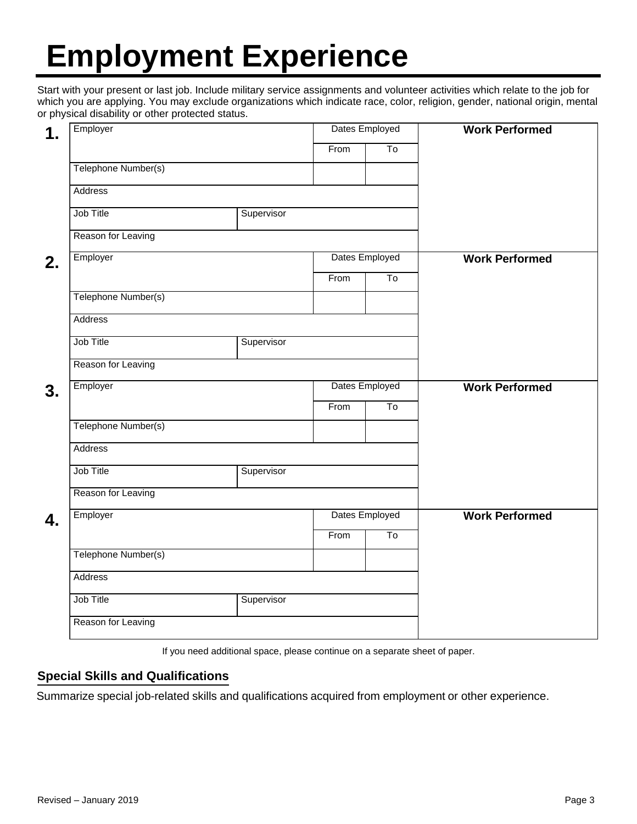## **Employment Experience**

Start with your present or last job. Include military service assignments and volunteer activities which relate to the job for which you are applying. You may exclude organizations which indicate race, color, religion, gender, national origin, mental or physical disability or other protected status.

| 1. | Employer            |            | Dates Employed |                        | <b>Work Performed</b> |
|----|---------------------|------------|----------------|------------------------|-----------------------|
|    |                     |            | From           | $\overline{\text{To}}$ |                       |
|    | Telephone Number(s) |            |                |                        |                       |
|    | Address             |            |                |                        |                       |
|    | Job Title           | Supervisor |                |                        |                       |
|    | Reason for Leaving  |            |                |                        |                       |
| 2. | Employer            |            |                | Dates Employed         | <b>Work Performed</b> |
|    |                     |            | From           | To                     |                       |
|    | Telephone Number(s) |            |                |                        |                       |
|    | Address             |            |                |                        |                       |
|    | Job Title           | Supervisor |                |                        |                       |
|    | Reason for Leaving  |            |                |                        |                       |
| 3. | Employer            |            | Dates Employed |                        | <b>Work Performed</b> |
|    |                     |            | From           | $\overline{\text{To}}$ |                       |
|    | Telephone Number(s) |            |                |                        |                       |
|    | Address             |            |                |                        |                       |
|    | Job Title           | Supervisor |                |                        |                       |
|    | Reason for Leaving  |            |                |                        |                       |
| 4. | Employer            |            |                | Dates Employed         | <b>Work Performed</b> |
|    |                     |            | From           | To                     |                       |
|    | Telephone Number(s) |            |                |                        |                       |
|    | Address             |            |                |                        |                       |
|    | Job Title           | Supervisor |                |                        |                       |
|    | Reason for Leaving  |            |                |                        |                       |

If you need additional space, please continue on a separate sheet of paper.

#### **Special Skills and Qualifications**

Summarize special job-related skills and qualifications acquired from employment or other experience.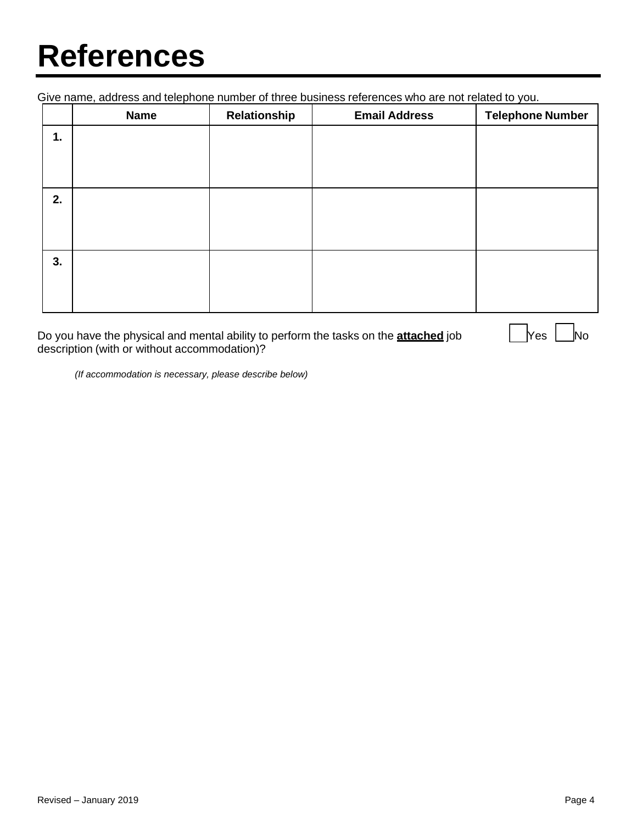### **References**

Give name, address and telephone number of three business references who are not related to you.

|    | <b>Name</b> | Relationship | <b>Email Address</b> | <b>Telephone Number</b> |
|----|-------------|--------------|----------------------|-------------------------|
| 1. |             |              |                      |                         |
|    |             |              |                      |                         |
|    |             |              |                      |                         |
| 2. |             |              |                      |                         |
|    |             |              |                      |                         |
|    |             |              |                      |                         |
| 3. |             |              |                      |                         |
|    |             |              |                      |                         |
|    |             |              |                      |                         |

Do you have the physical and mental ability to perform the tasks on the **attached** job **Yes** No description (with or without accommodation)?

*(If accommodation is necessary, please describe below)*